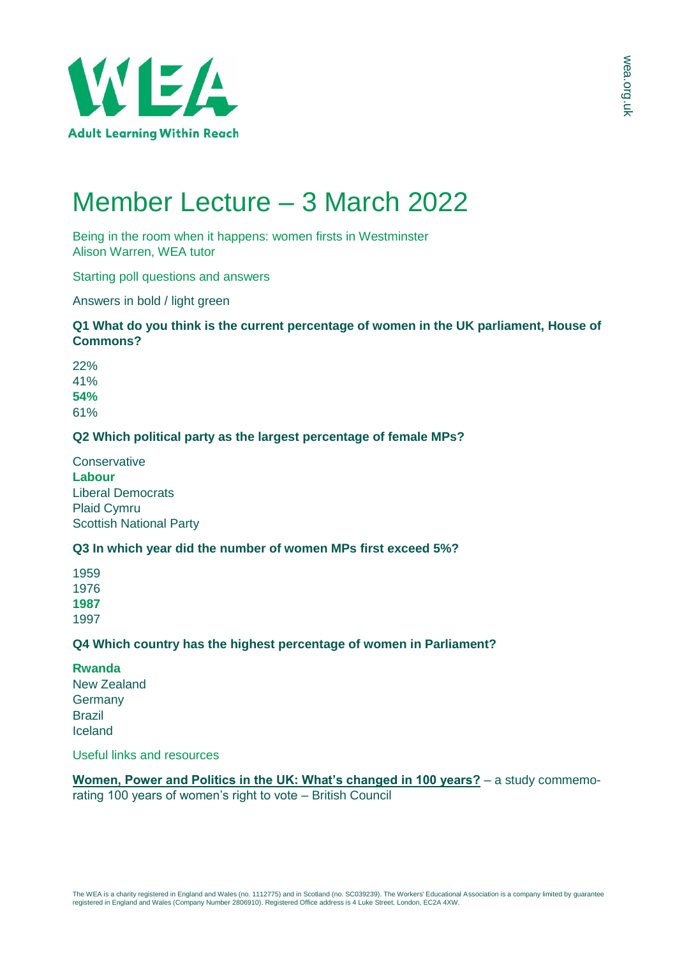

# Member Lecture – 3 March 2022

Being in the room when it happens: women firsts in Westminster Alison Warren, WEA tutor

Starting poll questions and answers

Answers in bold / light green

## **Q1 What do you think is the current percentage of women in the UK parliament, House of Commons?**

22% 41% **54%** 61%

### **Q2 Which political party as the largest percentage of female MPs?**

**Conservative Labour** Liberal Democrats Plaid Cymru Scottish National Party

### **Q3 In which year did the number of women MPs first exceed 5%?**

### **Q4 Which country has the highest percentage of women in Parliament?**

**Rwanda** New Zealand **Germany** Brazil Iceland

Useful links and resources

**[Women, Power and Politics in the UK: What's changed in 100 years?](https://www.britishcouncil.org/society/womens-and-girls-empowerment/research-reports/women-power-politics-100)** – a study commemorating 100 years of women's right to vote – British Council